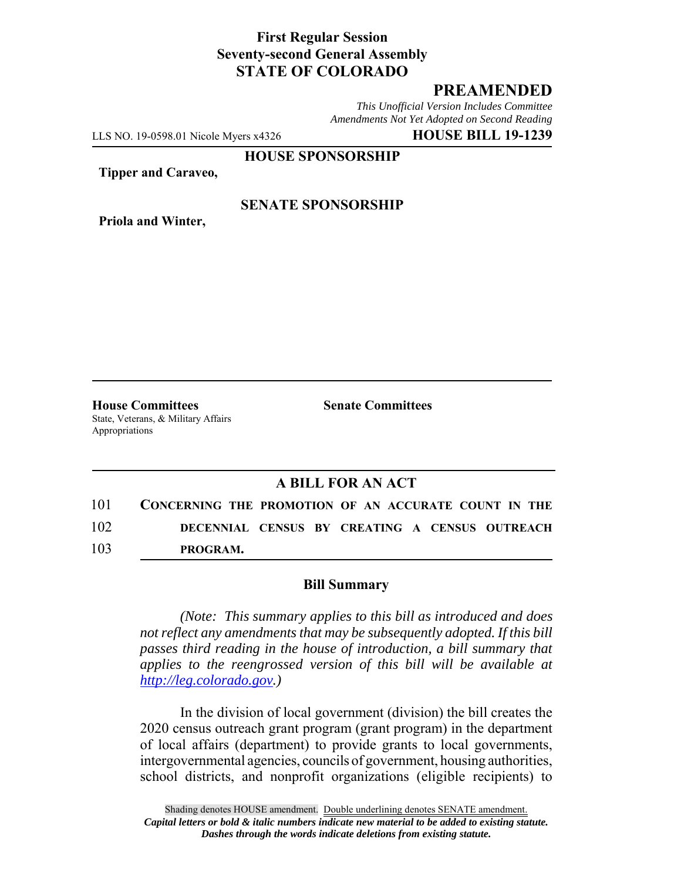### **First Regular Session Seventy-second General Assembly STATE OF COLORADO**

# **PREAMENDED**

*This Unofficial Version Includes Committee Amendments Not Yet Adopted on Second Reading*

LLS NO. 19-0598.01 Nicole Myers x4326 **HOUSE BILL 19-1239**

**HOUSE SPONSORSHIP**

**Tipper and Caraveo,**

**Priola and Winter,**

### **SENATE SPONSORSHIP**

**House Committees Senate Committees** State, Veterans, & Military Affairs Appropriations

## **A BILL FOR AN ACT**

| 101 | CONCERNING THE PROMOTION OF AN ACCURATE COUNT IN THE |                                                |  |
|-----|------------------------------------------------------|------------------------------------------------|--|
| 102 |                                                      | DECENNIAL CENSUS BY CREATING A CENSUS OUTREACH |  |
| 103 | PROGRAM.                                             |                                                |  |

#### **Bill Summary**

*(Note: This summary applies to this bill as introduced and does not reflect any amendments that may be subsequently adopted. If this bill passes third reading in the house of introduction, a bill summary that applies to the reengrossed version of this bill will be available at http://leg.colorado.gov.)*

In the division of local government (division) the bill creates the 2020 census outreach grant program (grant program) in the department of local affairs (department) to provide grants to local governments, intergovernmental agencies, councils of government, housing authorities, school districts, and nonprofit organizations (eligible recipients) to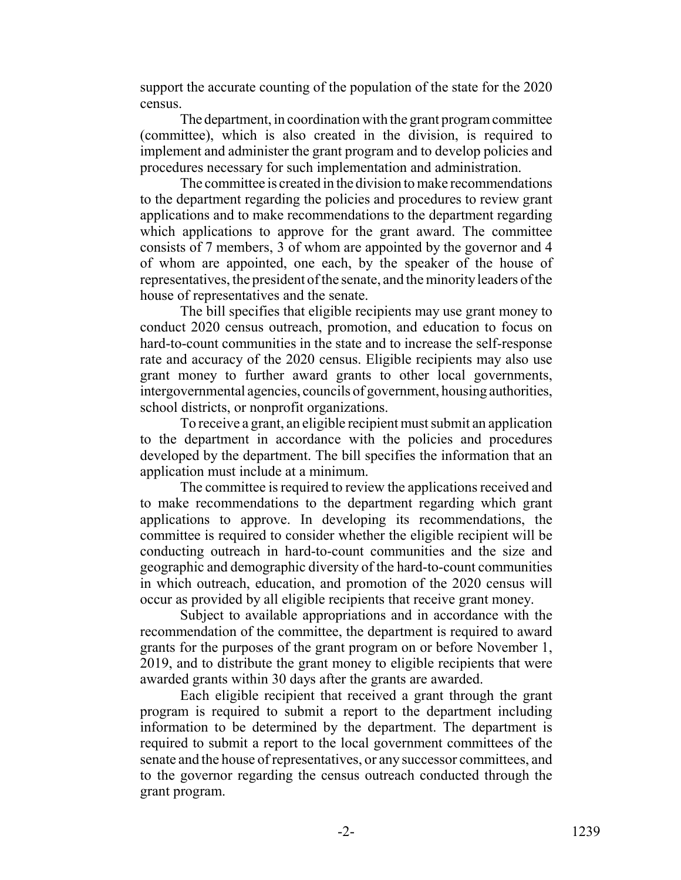support the accurate counting of the population of the state for the 2020 census.

The department, in coordination with the grant program committee (committee), which is also created in the division, is required to implement and administer the grant program and to develop policies and procedures necessary for such implementation and administration.

The committee is created in the division to make recommendations to the department regarding the policies and procedures to review grant applications and to make recommendations to the department regarding which applications to approve for the grant award. The committee consists of 7 members, 3 of whom are appointed by the governor and 4 of whom are appointed, one each, by the speaker of the house of representatives, the president of the senate, and the minority leaders of the house of representatives and the senate.

The bill specifies that eligible recipients may use grant money to conduct 2020 census outreach, promotion, and education to focus on hard-to-count communities in the state and to increase the self-response rate and accuracy of the 2020 census. Eligible recipients may also use grant money to further award grants to other local governments, intergovernmental agencies, councils of government, housing authorities, school districts, or nonprofit organizations.

To receive a grant, an eligible recipient must submit an application to the department in accordance with the policies and procedures developed by the department. The bill specifies the information that an application must include at a minimum.

The committee is required to review the applications received and to make recommendations to the department regarding which grant applications to approve. In developing its recommendations, the committee is required to consider whether the eligible recipient will be conducting outreach in hard-to-count communities and the size and geographic and demographic diversity of the hard-to-count communities in which outreach, education, and promotion of the 2020 census will occur as provided by all eligible recipients that receive grant money.

Subject to available appropriations and in accordance with the recommendation of the committee, the department is required to award grants for the purposes of the grant program on or before November 1, 2019, and to distribute the grant money to eligible recipients that were awarded grants within 30 days after the grants are awarded.

Each eligible recipient that received a grant through the grant program is required to submit a report to the department including information to be determined by the department. The department is required to submit a report to the local government committees of the senate and the house of representatives, or any successor committees, and to the governor regarding the census outreach conducted through the grant program.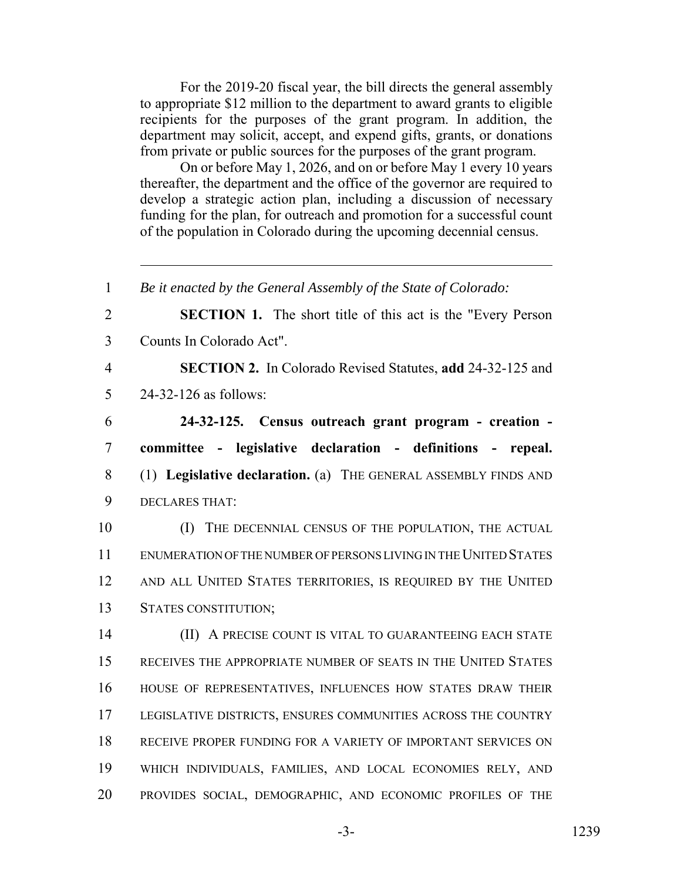For the 2019-20 fiscal year, the bill directs the general assembly to appropriate \$12 million to the department to award grants to eligible recipients for the purposes of the grant program. In addition, the department may solicit, accept, and expend gifts, grants, or donations from private or public sources for the purposes of the grant program.

On or before May 1, 2026, and on or before May 1 every 10 years thereafter, the department and the office of the governor are required to develop a strategic action plan, including a discussion of necessary funding for the plan, for outreach and promotion for a successful count of the population in Colorado during the upcoming decennial census.

 *Be it enacted by the General Assembly of the State of Colorado:* **SECTION 1.** The short title of this act is the "Every Person Counts In Colorado Act". **SECTION 2.** In Colorado Revised Statutes, **add** 24-32-125 and 24-32-126 as follows: **24-32-125. Census outreach grant program - creation - committee - legislative declaration - definitions - repeal.** (1) **Legislative declaration.** (a) THE GENERAL ASSEMBLY FINDS AND DECLARES THAT: 10 (I) THE DECENNIAL CENSUS OF THE POPULATION, THE ACTUAL ENUMERATION OF THE NUMBER OF PERSONS LIVING IN THE UNITED STATES AND ALL UNITED STATES TERRITORIES, IS REQUIRED BY THE UNITED STATES CONSTITUTION; **(II) A PRECISE COUNT IS VITAL TO GUARANTEEING EACH STATE**  RECEIVES THE APPROPRIATE NUMBER OF SEATS IN THE UNITED STATES HOUSE OF REPRESENTATIVES, INFLUENCES HOW STATES DRAW THEIR LEGISLATIVE DISTRICTS, ENSURES COMMUNITIES ACROSS THE COUNTRY RECEIVE PROPER FUNDING FOR A VARIETY OF IMPORTANT SERVICES ON WHICH INDIVIDUALS, FAMILIES, AND LOCAL ECONOMIES RELY, AND PROVIDES SOCIAL, DEMOGRAPHIC, AND ECONOMIC PROFILES OF THE

-3- 1239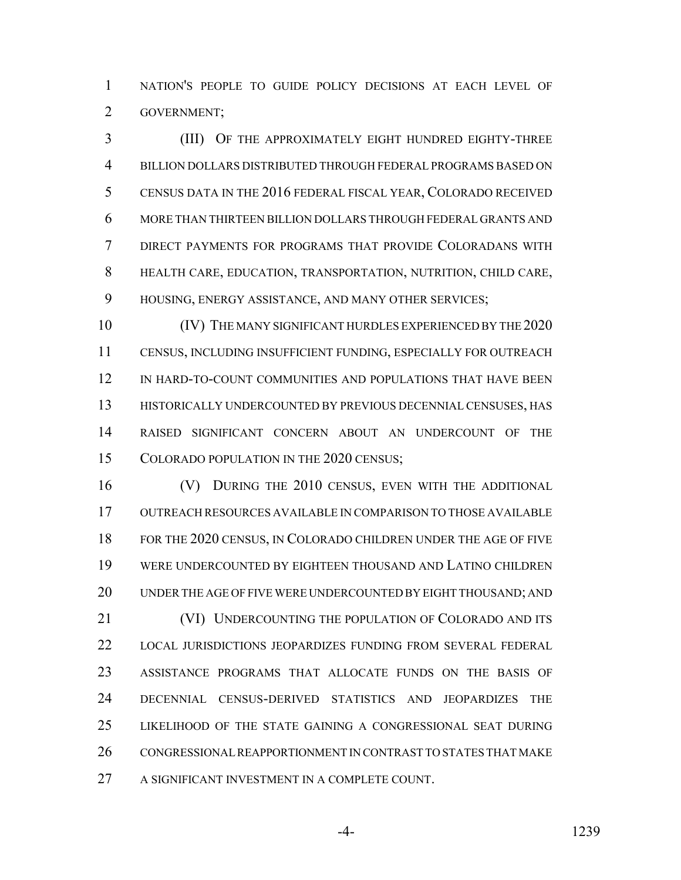NATION'S PEOPLE TO GUIDE POLICY DECISIONS AT EACH LEVEL OF GOVERNMENT;

 (III) OF THE APPROXIMATELY EIGHT HUNDRED EIGHTY-THREE BILLION DOLLARS DISTRIBUTED THROUGH FEDERAL PROGRAMS BASED ON CENSUS DATA IN THE 2016 FEDERAL FISCAL YEAR, COLORADO RECEIVED MORE THAN THIRTEEN BILLION DOLLARS THROUGH FEDERAL GRANTS AND DIRECT PAYMENTS FOR PROGRAMS THAT PROVIDE COLORADANS WITH HEALTH CARE, EDUCATION, TRANSPORTATION, NUTRITION, CHILD CARE, HOUSING, ENERGY ASSISTANCE, AND MANY OTHER SERVICES;

 (IV) THE MANY SIGNIFICANT HURDLES EXPERIENCED BY THE 2020 CENSUS, INCLUDING INSUFFICIENT FUNDING, ESPECIALLY FOR OUTREACH IN HARD-TO-COUNT COMMUNITIES AND POPULATIONS THAT HAVE BEEN HISTORICALLY UNDERCOUNTED BY PREVIOUS DECENNIAL CENSUSES, HAS RAISED SIGNIFICANT CONCERN ABOUT AN UNDERCOUNT OF THE 15 COLORADO POPULATION IN THE 2020 CENSUS;

 (V) DURING THE 2010 CENSUS, EVEN WITH THE ADDITIONAL OUTREACH RESOURCES AVAILABLE IN COMPARISON TO THOSE AVAILABLE FOR THE 2020 CENSUS, IN COLORADO CHILDREN UNDER THE AGE OF FIVE WERE UNDERCOUNTED BY EIGHTEEN THOUSAND AND LATINO CHILDREN UNDER THE AGE OF FIVE WERE UNDERCOUNTED BY EIGHT THOUSAND; AND 21 (VI) UNDERCOUNTING THE POPULATION OF COLORADO AND ITS LOCAL JURISDICTIONS JEOPARDIZES FUNDING FROM SEVERAL FEDERAL ASSISTANCE PROGRAMS THAT ALLOCATE FUNDS ON THE BASIS OF DECENNIAL CENSUS-DERIVED STATISTICS AND JEOPARDIZES THE LIKELIHOOD OF THE STATE GAINING A CONGRESSIONAL SEAT DURING CONGRESSIONAL REAPPORTIONMENT IN CONTRAST TO STATES THAT MAKE A SIGNIFICANT INVESTMENT IN A COMPLETE COUNT.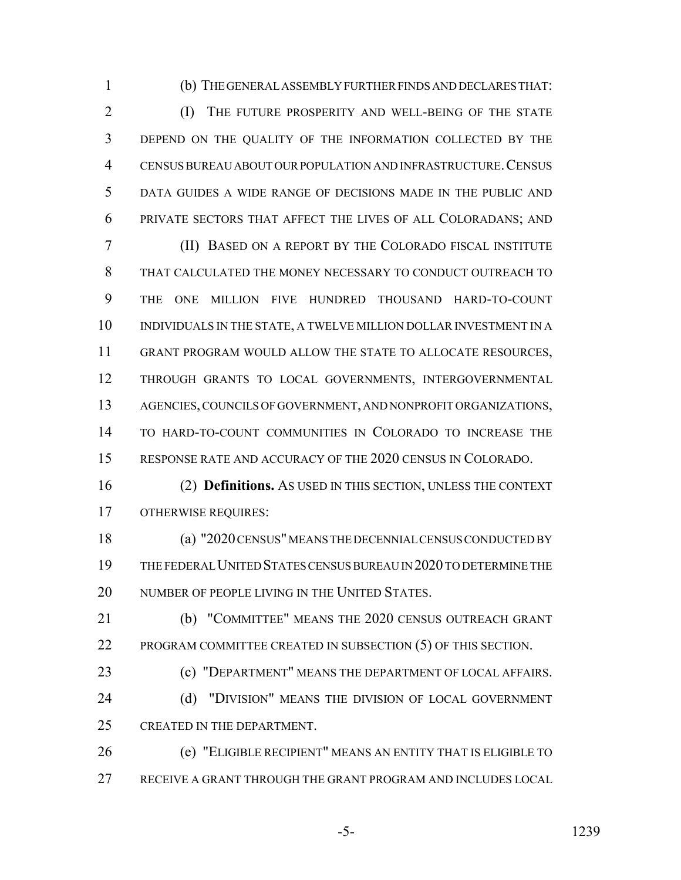(b) THE GENERAL ASSEMBLY FURTHER FINDS AND DECLARES THAT:

2 (I) THE FUTURE PROSPERITY AND WELL-BEING OF THE STATE DEPEND ON THE QUALITY OF THE INFORMATION COLLECTED BY THE CENSUS BUREAU ABOUT OUR POPULATION AND INFRASTRUCTURE.CENSUS DATA GUIDES A WIDE RANGE OF DECISIONS MADE IN THE PUBLIC AND PRIVATE SECTORS THAT AFFECT THE LIVES OF ALL COLORADANS; AND

 (II) BASED ON A REPORT BY THE COLORADO FISCAL INSTITUTE THAT CALCULATED THE MONEY NECESSARY TO CONDUCT OUTREACH TO THE ONE MILLION FIVE HUNDRED THOUSAND HARD-TO-COUNT INDIVIDUALS IN THE STATE, A TWELVE MILLION DOLLAR INVESTMENT IN A GRANT PROGRAM WOULD ALLOW THE STATE TO ALLOCATE RESOURCES, THROUGH GRANTS TO LOCAL GOVERNMENTS, INTERGOVERNMENTAL AGENCIES, COUNCILS OF GOVERNMENT, AND NONPROFIT ORGANIZATIONS, TO HARD-TO-COUNT COMMUNITIES IN COLORADO TO INCREASE THE RESPONSE RATE AND ACCURACY OF THE 2020 CENSUS IN COLORADO.

 (2) **Definitions.** AS USED IN THIS SECTION, UNLESS THE CONTEXT OTHERWISE REQUIRES:

 (a) "2020 CENSUS" MEANS THE DECENNIAL CENSUS CONDUCTED BY THE FEDERAL UNITED STATES CENSUS BUREAU IN 2020 TO DETERMINE THE 20 NUMBER OF PEOPLE LIVING IN THE UNITED STATES.

 (b) "COMMITTEE" MEANS THE 2020 CENSUS OUTREACH GRANT PROGRAM COMMITTEE CREATED IN SUBSECTION (5) OF THIS SECTION.

 (c) "DEPARTMENT" MEANS THE DEPARTMENT OF LOCAL AFFAIRS. 24 (d) "DIVISION" MEANS THE DIVISION OF LOCAL GOVERNMENT CREATED IN THE DEPARTMENT.

 (e) "ELIGIBLE RECIPIENT" MEANS AN ENTITY THAT IS ELIGIBLE TO RECEIVE A GRANT THROUGH THE GRANT PROGRAM AND INCLUDES LOCAL

-5- 1239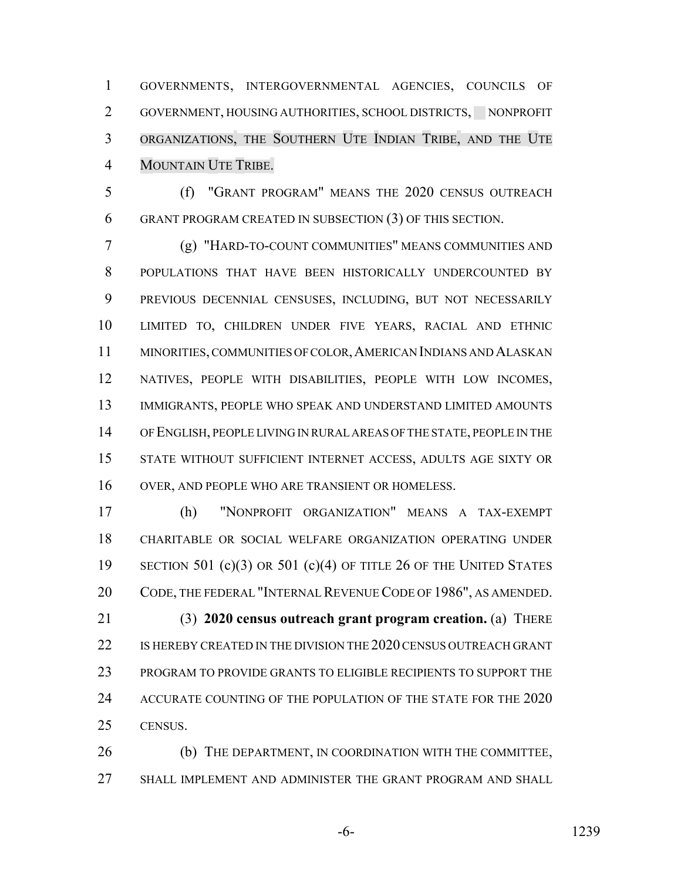GOVERNMENTS, INTERGOVERNMENTAL AGENCIES, COUNCILS OF 2 GOVERNMENT, HOUSING AUTHORITIES, SCHOOL DISTRICTS, NONPROFIT ORGANIZATIONS, THE SOUTHERN UTE INDIAN TRIBE, AND THE UTE MOUNTAIN UTE TRIBE.

 (f) "GRANT PROGRAM" MEANS THE 2020 CENSUS OUTREACH GRANT PROGRAM CREATED IN SUBSECTION (3) OF THIS SECTION.

 (g) "HARD-TO-COUNT COMMUNITIES" MEANS COMMUNITIES AND POPULATIONS THAT HAVE BEEN HISTORICALLY UNDERCOUNTED BY PREVIOUS DECENNIAL CENSUSES, INCLUDING, BUT NOT NECESSARILY LIMITED TO, CHILDREN UNDER FIVE YEARS, RACIAL AND ETHNIC MINORITIES, COMMUNITIES OF COLOR,AMERICAN INDIANS AND ALASKAN NATIVES, PEOPLE WITH DISABILITIES, PEOPLE WITH LOW INCOMES, IMMIGRANTS, PEOPLE WHO SPEAK AND UNDERSTAND LIMITED AMOUNTS OF ENGLISH, PEOPLE LIVING IN RURAL AREAS OF THE STATE, PEOPLE IN THE STATE WITHOUT SUFFICIENT INTERNET ACCESS, ADULTS AGE SIXTY OR OVER, AND PEOPLE WHO ARE TRANSIENT OR HOMELESS.

 (h) "NONPROFIT ORGANIZATION" MEANS A TAX-EXEMPT CHARITABLE OR SOCIAL WELFARE ORGANIZATION OPERATING UNDER 19 SECTION 501 (c)(3) OR 501 (c)(4) OF TITLE 26 OF THE UNITED STATES CODE, THE FEDERAL "INTERNAL REVENUE CODE OF 1986", AS AMENDED. (3) **2020 census outreach grant program creation.** (a) THERE IS HEREBY CREATED IN THE DIVISION THE 2020 CENSUS OUTREACH GRANT PROGRAM TO PROVIDE GRANTS TO ELIGIBLE RECIPIENTS TO SUPPORT THE 24 ACCURATE COUNTING OF THE POPULATION OF THE STATE FOR THE 2020 CENSUS.

 (b) THE DEPARTMENT, IN COORDINATION WITH THE COMMITTEE, SHALL IMPLEMENT AND ADMINISTER THE GRANT PROGRAM AND SHALL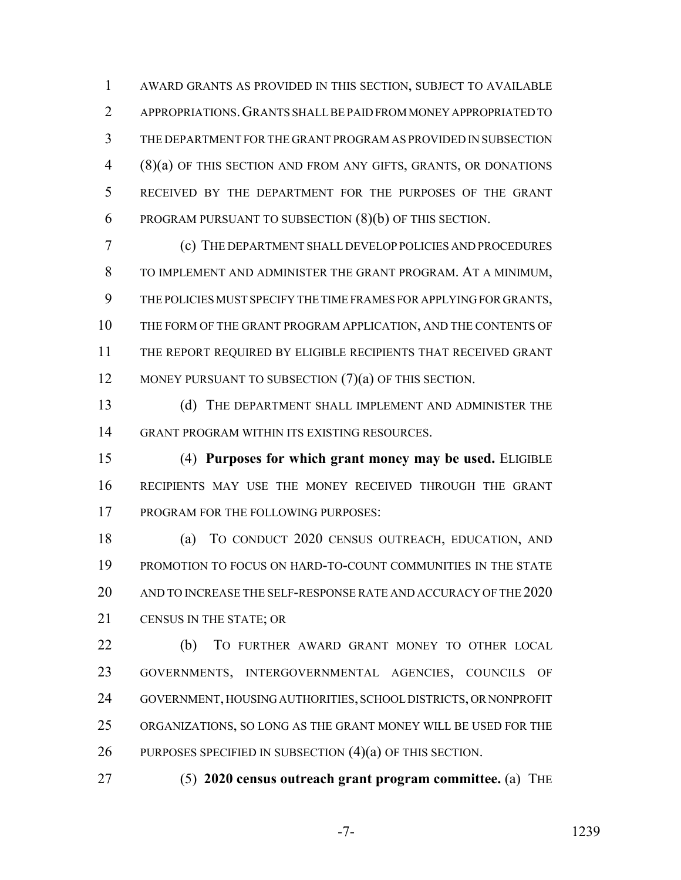AWARD GRANTS AS PROVIDED IN THIS SECTION, SUBJECT TO AVAILABLE APPROPRIATIONS.GRANTS SHALL BE PAID FROM MONEY APPROPRIATED TO THE DEPARTMENT FOR THE GRANT PROGRAM AS PROVIDED IN SUBSECTION (8)(a) OF THIS SECTION AND FROM ANY GIFTS, GRANTS, OR DONATIONS RECEIVED BY THE DEPARTMENT FOR THE PURPOSES OF THE GRANT PROGRAM PURSUANT TO SUBSECTION (8)(b) OF THIS SECTION.

 (c) THE DEPARTMENT SHALL DEVELOP POLICIES AND PROCEDURES TO IMPLEMENT AND ADMINISTER THE GRANT PROGRAM. AT A MINIMUM, THE POLICIES MUST SPECIFY THE TIME FRAMES FOR APPLYING FOR GRANTS, THE FORM OF THE GRANT PROGRAM APPLICATION, AND THE CONTENTS OF THE REPORT REQUIRED BY ELIGIBLE RECIPIENTS THAT RECEIVED GRANT 12 MONEY PURSUANT TO SUBSECTION (7)(a) OF THIS SECTION.

 (d) THE DEPARTMENT SHALL IMPLEMENT AND ADMINISTER THE GRANT PROGRAM WITHIN ITS EXISTING RESOURCES.

 (4) **Purposes for which grant money may be used.** ELIGIBLE RECIPIENTS MAY USE THE MONEY RECEIVED THROUGH THE GRANT PROGRAM FOR THE FOLLOWING PURPOSES:

 (a) TO CONDUCT 2020 CENSUS OUTREACH, EDUCATION, AND PROMOTION TO FOCUS ON HARD-TO-COUNT COMMUNITIES IN THE STATE AND TO INCREASE THE SELF-RESPONSE RATE AND ACCURACY OF THE 2020 CENSUS IN THE STATE; OR

 (b) TO FURTHER AWARD GRANT MONEY TO OTHER LOCAL GOVERNMENTS, INTERGOVERNMENTAL AGENCIES, COUNCILS OF GOVERNMENT, HOUSING AUTHORITIES, SCHOOL DISTRICTS, OR NONPROFIT ORGANIZATIONS, SO LONG AS THE GRANT MONEY WILL BE USED FOR THE PURPOSES SPECIFIED IN SUBSECTION (4)(a) OF THIS SECTION.

(5) **2020 census outreach grant program committee.** (a) THE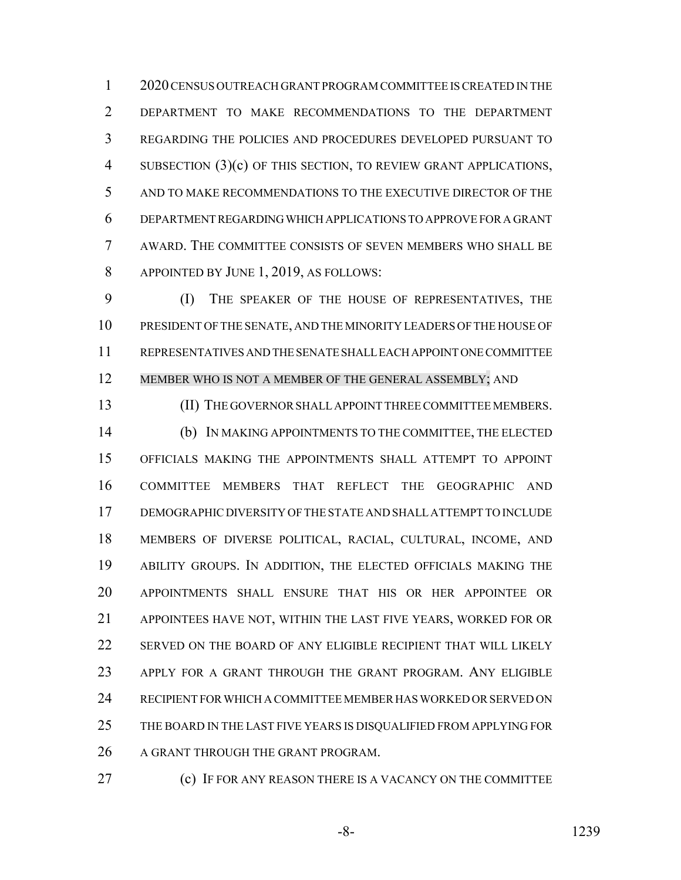2020 CENSUS OUTREACH GRANT PROGRAM COMMITTEE IS CREATED IN THE DEPARTMENT TO MAKE RECOMMENDATIONS TO THE DEPARTMENT REGARDING THE POLICIES AND PROCEDURES DEVELOPED PURSUANT TO 4 SUBSECTION (3)(c) OF THIS SECTION, TO REVIEW GRANT APPLICATIONS, AND TO MAKE RECOMMENDATIONS TO THE EXECUTIVE DIRECTOR OF THE DEPARTMENT REGARDING WHICH APPLICATIONS TO APPROVE FOR A GRANT AWARD. THE COMMITTEE CONSISTS OF SEVEN MEMBERS WHO SHALL BE APPOINTED BY JUNE 1, 2019, AS FOLLOWS:

 (I) THE SPEAKER OF THE HOUSE OF REPRESENTATIVES, THE PRESIDENT OF THE SENATE, AND THE MINORITY LEADERS OF THE HOUSE OF REPRESENTATIVES AND THE SENATE SHALL EACH APPOINT ONE COMMITTEE MEMBER WHO IS NOT A MEMBER OF THE GENERAL ASSEMBLY; AND

 (II) THE GOVERNOR SHALL APPOINT THREE COMMITTEE MEMBERS. (b) IN MAKING APPOINTMENTS TO THE COMMITTEE, THE ELECTED OFFICIALS MAKING THE APPOINTMENTS SHALL ATTEMPT TO APPOINT COMMITTEE MEMBERS THAT REFLECT THE GEOGRAPHIC AND DEMOGRAPHIC DIVERSITY OF THE STATE AND SHALL ATTEMPT TO INCLUDE MEMBERS OF DIVERSE POLITICAL, RACIAL, CULTURAL, INCOME, AND ABILITY GROUPS. IN ADDITION, THE ELECTED OFFICIALS MAKING THE APPOINTMENTS SHALL ENSURE THAT HIS OR HER APPOINTEE OR APPOINTEES HAVE NOT, WITHIN THE LAST FIVE YEARS, WORKED FOR OR SERVED ON THE BOARD OF ANY ELIGIBLE RECIPIENT THAT WILL LIKELY APPLY FOR A GRANT THROUGH THE GRANT PROGRAM. ANY ELIGIBLE RECIPIENT FOR WHICH A COMMITTEE MEMBER HAS WORKED OR SERVED ON THE BOARD IN THE LAST FIVE YEARS IS DISQUALIFIED FROM APPLYING FOR 26 A GRANT THROUGH THE GRANT PROGRAM.

(c) IF FOR ANY REASON THERE IS A VACANCY ON THE COMMITTEE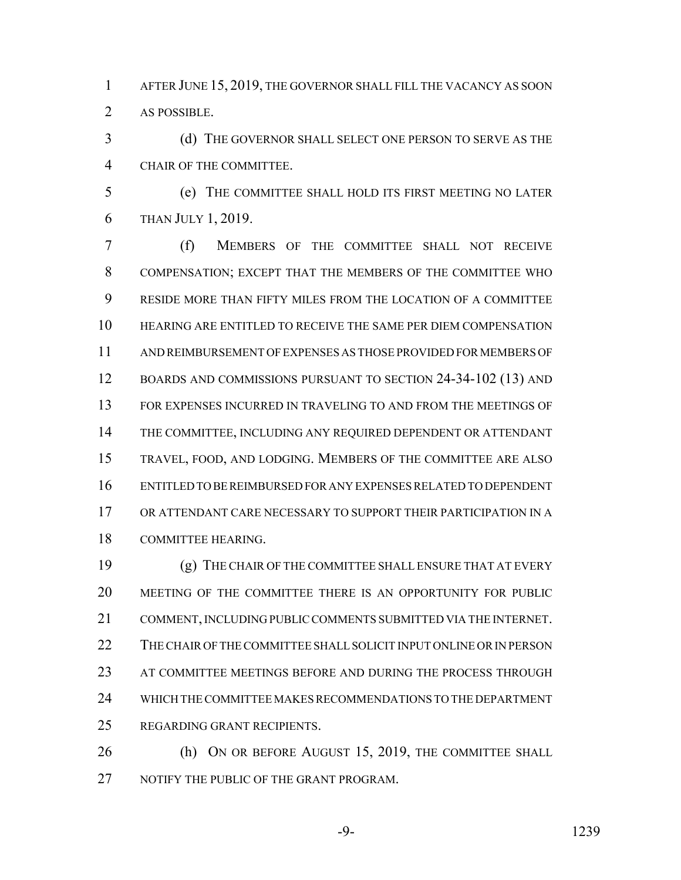AFTER JUNE 15, 2019, THE GOVERNOR SHALL FILL THE VACANCY AS SOON AS POSSIBLE.

 (d) THE GOVERNOR SHALL SELECT ONE PERSON TO SERVE AS THE CHAIR OF THE COMMITTEE.

 (e) THE COMMITTEE SHALL HOLD ITS FIRST MEETING NO LATER THAN JULY 1, 2019.

 (f) MEMBERS OF THE COMMITTEE SHALL NOT RECEIVE COMPENSATION; EXCEPT THAT THE MEMBERS OF THE COMMITTEE WHO RESIDE MORE THAN FIFTY MILES FROM THE LOCATION OF A COMMITTEE HEARING ARE ENTITLED TO RECEIVE THE SAME PER DIEM COMPENSATION AND REIMBURSEMENT OF EXPENSES AS THOSE PROVIDED FOR MEMBERS OF BOARDS AND COMMISSIONS PURSUANT TO SECTION 24-34-102 (13) AND FOR EXPENSES INCURRED IN TRAVELING TO AND FROM THE MEETINGS OF THE COMMITTEE, INCLUDING ANY REQUIRED DEPENDENT OR ATTENDANT TRAVEL, FOOD, AND LODGING. MEMBERS OF THE COMMITTEE ARE ALSO ENTITLED TO BE REIMBURSED FOR ANY EXPENSES RELATED TO DEPENDENT OR ATTENDANT CARE NECESSARY TO SUPPORT THEIR PARTICIPATION IN A COMMITTEE HEARING.

 (g) THE CHAIR OF THE COMMITTEE SHALL ENSURE THAT AT EVERY MEETING OF THE COMMITTEE THERE IS AN OPPORTUNITY FOR PUBLIC COMMENT, INCLUDING PUBLIC COMMENTS SUBMITTED VIA THE INTERNET. THE CHAIR OF THE COMMITTEE SHALL SOLICIT INPUT ONLINE OR IN PERSON AT COMMITTEE MEETINGS BEFORE AND DURING THE PROCESS THROUGH WHICH THE COMMITTEE MAKES RECOMMENDATIONS TO THE DEPARTMENT REGARDING GRANT RECIPIENTS.

26 (h) ON OR BEFORE AUGUST 15, 2019, THE COMMITTEE SHALL 27 NOTIFY THE PUBLIC OF THE GRANT PROGRAM.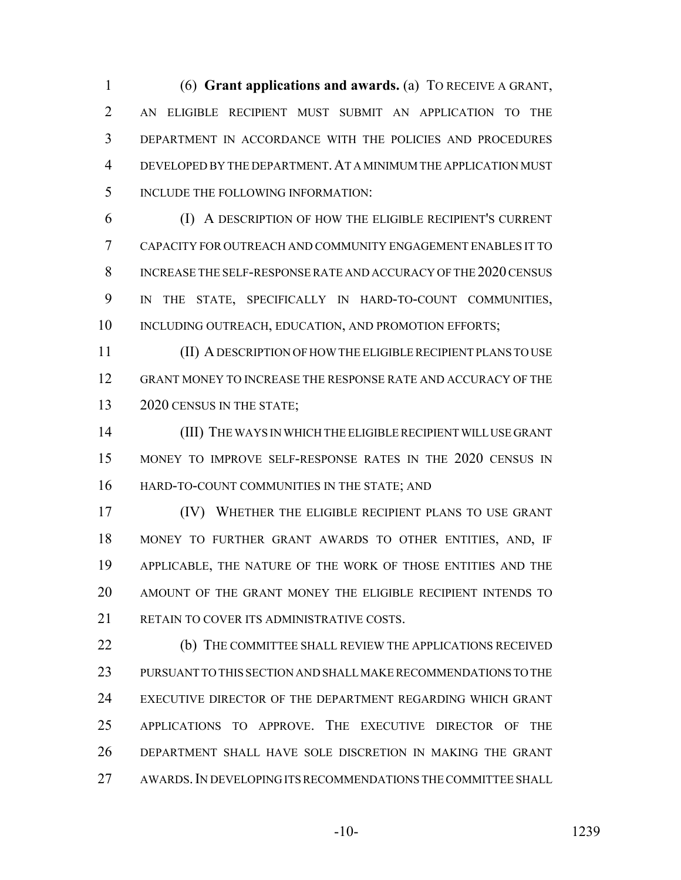(6) **Grant applications and awards.** (a) TO RECEIVE A GRANT, AN ELIGIBLE RECIPIENT MUST SUBMIT AN APPLICATION TO THE DEPARTMENT IN ACCORDANCE WITH THE POLICIES AND PROCEDURES DEVELOPED BY THE DEPARTMENT.AT A MINIMUM THE APPLICATION MUST INCLUDE THE FOLLOWING INFORMATION:

 (I) A DESCRIPTION OF HOW THE ELIGIBLE RECIPIENT'S CURRENT CAPACITY FOR OUTREACH AND COMMUNITY ENGAGEMENT ENABLES IT TO INCREASE THE SELF-RESPONSE RATE AND ACCURACY OF THE 2020 CENSUS IN THE STATE, SPECIFICALLY IN HARD-TO-COUNT COMMUNITIES, 10 INCLUDING OUTREACH, EDUCATION, AND PROMOTION EFFORTS;

 (II) A DESCRIPTION OF HOW THE ELIGIBLE RECIPIENT PLANS TO USE GRANT MONEY TO INCREASE THE RESPONSE RATE AND ACCURACY OF THE 13 2020 CENSUS IN THE STATE;

 (III) THE WAYS IN WHICH THE ELIGIBLE RECIPIENT WILL USE GRANT MONEY TO IMPROVE SELF-RESPONSE RATES IN THE 2020 CENSUS IN HARD-TO-COUNT COMMUNITIES IN THE STATE; AND

 (IV) WHETHER THE ELIGIBLE RECIPIENT PLANS TO USE GRANT MONEY TO FURTHER GRANT AWARDS TO OTHER ENTITIES, AND, IF APPLICABLE, THE NATURE OF THE WORK OF THOSE ENTITIES AND THE AMOUNT OF THE GRANT MONEY THE ELIGIBLE RECIPIENT INTENDS TO RETAIN TO COVER ITS ADMINISTRATIVE COSTS.

 (b) THE COMMITTEE SHALL REVIEW THE APPLICATIONS RECEIVED PURSUANT TO THIS SECTION AND SHALL MAKE RECOMMENDATIONS TO THE EXECUTIVE DIRECTOR OF THE DEPARTMENT REGARDING WHICH GRANT APPLICATIONS TO APPROVE. THE EXECUTIVE DIRECTOR OF THE DEPARTMENT SHALL HAVE SOLE DISCRETION IN MAKING THE GRANT AWARDS.IN DEVELOPING ITS RECOMMENDATIONS THE COMMITTEE SHALL

-10- 1239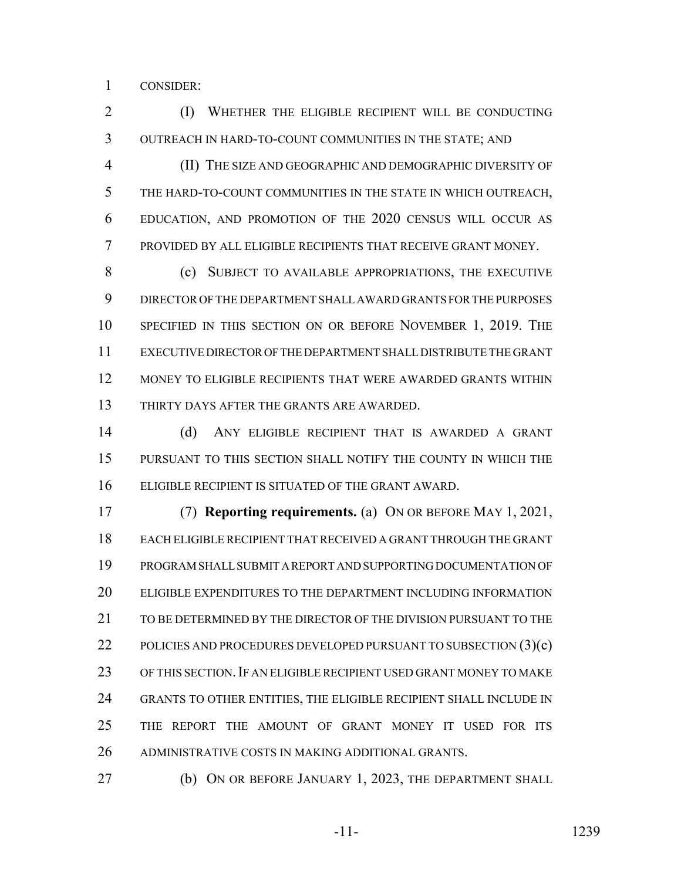CONSIDER:

 (I) WHETHER THE ELIGIBLE RECIPIENT WILL BE CONDUCTING OUTREACH IN HARD-TO-COUNT COMMUNITIES IN THE STATE; AND

 (II) THE SIZE AND GEOGRAPHIC AND DEMOGRAPHIC DIVERSITY OF THE HARD-TO-COUNT COMMUNITIES IN THE STATE IN WHICH OUTREACH, EDUCATION, AND PROMOTION OF THE 2020 CENSUS WILL OCCUR AS PROVIDED BY ALL ELIGIBLE RECIPIENTS THAT RECEIVE GRANT MONEY.

8 (c) SUBJECT TO AVAILABLE APPROPRIATIONS, THE EXECUTIVE DIRECTOR OF THE DEPARTMENT SHALL AWARD GRANTS FOR THE PURPOSES SPECIFIED IN THIS SECTION ON OR BEFORE NOVEMBER 1, 2019. THE EXECUTIVE DIRECTOR OF THE DEPARTMENT SHALL DISTRIBUTE THE GRANT MONEY TO ELIGIBLE RECIPIENTS THAT WERE AWARDED GRANTS WITHIN THIRTY DAYS AFTER THE GRANTS ARE AWARDED.

 (d) ANY ELIGIBLE RECIPIENT THAT IS AWARDED A GRANT PURSUANT TO THIS SECTION SHALL NOTIFY THE COUNTY IN WHICH THE ELIGIBLE RECIPIENT IS SITUATED OF THE GRANT AWARD.

 (7) **Reporting requirements.** (a) ON OR BEFORE MAY 1, 2021, EACH ELIGIBLE RECIPIENT THAT RECEIVED A GRANT THROUGH THE GRANT PROGRAM SHALL SUBMIT A REPORT AND SUPPORTING DOCUMENTATION OF ELIGIBLE EXPENDITURES TO THE DEPARTMENT INCLUDING INFORMATION 21 TO BE DETERMINED BY THE DIRECTOR OF THE DIVISION PURSUANT TO THE 22 POLICIES AND PROCEDURES DEVELOPED PURSUANT TO SUBSECTION (3)(c) OF THIS SECTION.IF AN ELIGIBLE RECIPIENT USED GRANT MONEY TO MAKE GRANTS TO OTHER ENTITIES, THE ELIGIBLE RECIPIENT SHALL INCLUDE IN THE REPORT THE AMOUNT OF GRANT MONEY IT USED FOR ITS ADMINISTRATIVE COSTS IN MAKING ADDITIONAL GRANTS.

**(b)** ON OR BEFORE JANUARY 1, 2023, THE DEPARTMENT SHALL

-11- 1239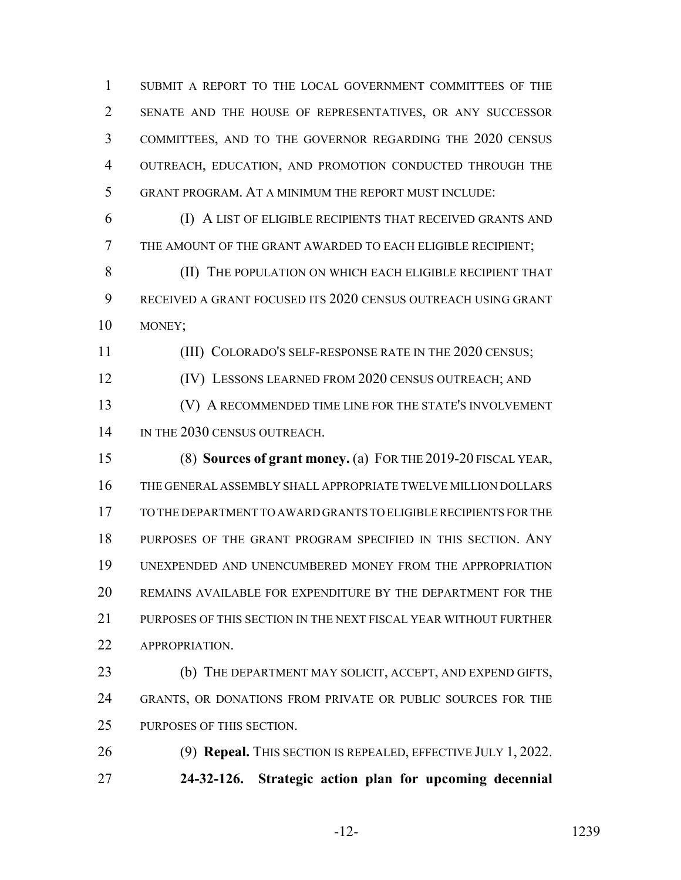SUBMIT A REPORT TO THE LOCAL GOVERNMENT COMMITTEES OF THE SENATE AND THE HOUSE OF REPRESENTATIVES, OR ANY SUCCESSOR COMMITTEES, AND TO THE GOVERNOR REGARDING THE 2020 CENSUS OUTREACH, EDUCATION, AND PROMOTION CONDUCTED THROUGH THE GRANT PROGRAM. AT A MINIMUM THE REPORT MUST INCLUDE:

 (I) A LIST OF ELIGIBLE RECIPIENTS THAT RECEIVED GRANTS AND THE AMOUNT OF THE GRANT AWARDED TO EACH ELIGIBLE RECIPIENT;

8 (II) THE POPULATION ON WHICH EACH ELIGIBLE RECIPIENT THAT RECEIVED A GRANT FOCUSED ITS 2020 CENSUS OUTREACH USING GRANT MONEY;

(III) COLORADO'S SELF-RESPONSE RATE IN THE 2020 CENSUS;

(IV) LESSONS LEARNED FROM 2020 CENSUS OUTREACH; AND

 (V) A RECOMMENDED TIME LINE FOR THE STATE'S INVOLVEMENT 14 IN THE 2030 CENSUS OUTREACH.

 (8) **Sources of grant money.** (a) FOR THE 2019-20 FISCAL YEAR, THE GENERAL ASSEMBLY SHALL APPROPRIATE TWELVE MILLION DOLLARS TO THE DEPARTMENT TO AWARD GRANTS TO ELIGIBLE RECIPIENTS FOR THE PURPOSES OF THE GRANT PROGRAM SPECIFIED IN THIS SECTION. ANY UNEXPENDED AND UNENCUMBERED MONEY FROM THE APPROPRIATION REMAINS AVAILABLE FOR EXPENDITURE BY THE DEPARTMENT FOR THE PURPOSES OF THIS SECTION IN THE NEXT FISCAL YEAR WITHOUT FURTHER 22 APPROPRIATION.

 (b) THE DEPARTMENT MAY SOLICIT, ACCEPT, AND EXPEND GIFTS, GRANTS, OR DONATIONS FROM PRIVATE OR PUBLIC SOURCES FOR THE PURPOSES OF THIS SECTION.

 (9) **Repeal.** THIS SECTION IS REPEALED, EFFECTIVE JULY 1, 2022. **24-32-126. Strategic action plan for upcoming decennial**